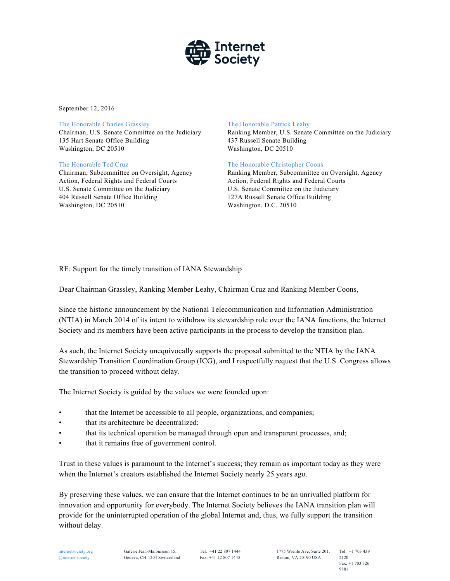

September 12, 2016

### The Honorable Charles Grassley

Chairman, U.S. Senate Committee on the Judiciary 135 Hart Senate Office Building Washington, DC 20510

## The Honorable Ted Cruz

Chairman, Subcommittee on Oversight, Agency Action, Federal Rights and Federal Courts U.S. Senate Committee on the Judiciary 404 Russell Senate Office Building Washington, DC 20510

### The Honorable Patrick Leahy

Ranking Member, U.S. Senate Committee on the Judiciary 437 Russell Senate Building Washington, DC 20510

## The Honorable Christopher Coons

Ranking Member, Subcommittee on Oversight, Agency Action, Federal Rights and Federal Courts U.S. Senate Committee on the Judiciary 127A Russell Senate Office Building Washington, D.C. 20510

# RE: Support for the timely transition of IANA Stewardship

Dear Chairman Grassley, Ranking Member Leahy, Chairman Cruz and Ranking Member Coons,

Since the historic announcement by the National Telecommunication and Information Administration (NTIA) in March 2014 of its intent to withdraw its stewardship role over the IANA functions, the Internet Society and its members have been active participants in the process to develop the transition plan.

As such, the Internet Society unequivocally supports the proposal submitted to the NTIA by the IANA Stewardship Transition Coordination Group (ICG), and I respectfully request that the U.S. Congress allows the transition to proceed without delay.

The Internet Society is guided by the values we were founded upon:

- that the Internet be accessible to all people, organizations, and companies;
- that its architecture be decentralized;
- that its technical operation be managed through open and transparent processes, and;
- that it remains free of government control.

Trust in these values is paramount to the Internet's success; they remain as important today as they were when the Internet's creators established the Internet Society nearly 25 years ago.

By preserving these values, we can ensure that the Internet continues to be an unrivalled platform for innovation and opportunity for everybody. The Internet Society believes the IANA transition plan will provide for the uninterrupted operation of the global Internet and, thus, we fully support the transition without delay.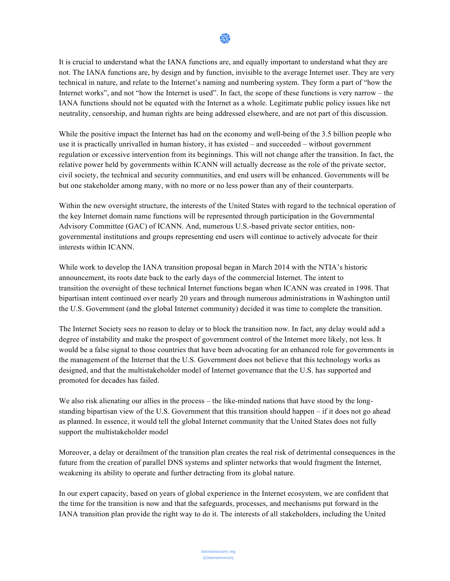

It is crucial to understand what the IANA functions are, and equally important to understand what they are not. The IANA functions are, by design and by function, invisible to the average Internet user. They are very technical in nature, and relate to the Internet's naming and numbering system. They form a part of "how the Internet works", and not "how the Internet is used". In fact, the scope of these functions is very narrow – the IANA functions should not be equated with the Internet as a whole. Legitimate public policy issues like net neutrality, censorship, and human rights are being addressed elsewhere, and are not part of this discussion.

While the positive impact the Internet has had on the economy and well-being of the 3.5 billion people who use it is practically unrivalled in human history, it has existed – and succeeded – without government regulation or excessive intervention from its beginnings. This will not change after the transition. In fact, the relative power held by governments within ICANN will actually decrease as the role of the private sector, civil society, the technical and security communities, and end users will be enhanced. Governments will be but one stakeholder among many, with no more or no less power than any of their counterparts.

Within the new oversight structure, the interests of the United States with regard to the technical operation of the key Internet domain name functions will be represented through participation in the Governmental Advisory Committee (GAC) of ICANN. And, numerous U.S.-based private sector entities, nongovernmental institutions and groups representing end users will continue to actively advocate for their interests within ICANN.

While work to develop the IANA transition proposal began in March 2014 with the NTIA's historic announcement, its roots date back to the early days of the commercial Internet. The intent to transition the oversight of these technical Internet functions began when ICANN was created in 1998. That bipartisan intent continued over nearly 20 years and through numerous administrations in Washington until the U.S. Government (and the global Internet community) decided it was time to complete the transition.

The Internet Society sees no reason to delay or to block the transition now. In fact, any delay would add a degree of instability and make the prospect of government control of the Internet more likely, not less. It would be a false signal to those countries that have been advocating for an enhanced role for governments in the management of the Internet that the U.S. Government does not believe that this technology works as designed, and that the multistakeholder model of Internet governance that the U.S. has supported and promoted for decades has failed.

We also risk alienating our allies in the process – the like-minded nations that have stood by the longstanding bipartisan view of the U.S. Government that this transition should happen – if it does not go ahead as planned. In essence, it would tell the global Internet community that the United States does not fully support the multistakeholder model

Moreover, a delay or derailment of the transition plan creates the real risk of detrimental consequences in the future from the creation of parallel DNS systems and splinter networks that would fragment the Internet, weakening its ability to operate and further detracting from its global nature.

In our expert capacity, based on years of global experience in the Internet ecosystem, we are confident that the time for the transition is now and that the safeguards, processes, and mechanisms put forward in the IANA transition plan provide the right way to do it. The interests of all stakeholders, including the United